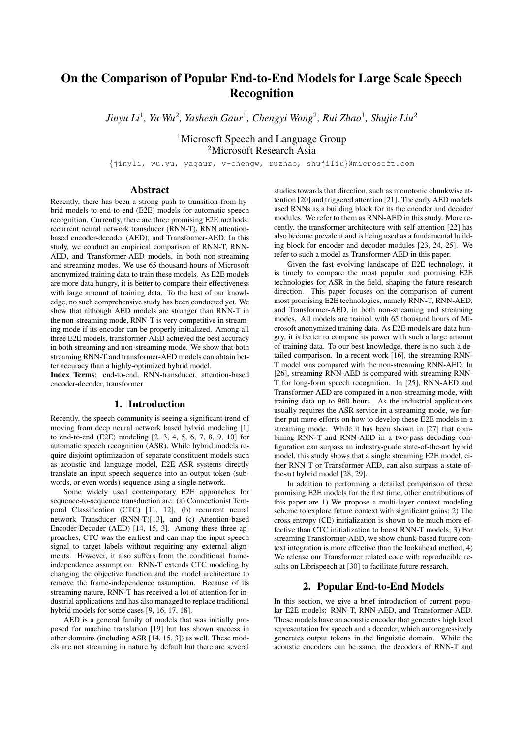# On the Comparison of Popular End-to-End Models for Large Scale Speech Recognition

 $J$ *inyu Li* $^1$ *, Yu Wu* $^2$ *, Yashesh Gaur* $^1$ *, Chengyi Wang* $^2$ *, Rui Zhao* $^1$ *, Shujie Liu* $^2$ 

<sup>1</sup>Microsoft Speech and Language Group <sup>2</sup>Microsoft Research Asia

{jinyli, wu.yu, yagaur, v-chengw, ruzhao, shujiliu}@microsoft.com

# Abstract

Recently, there has been a strong push to transition from hybrid models to end-to-end (E2E) models for automatic speech recognition. Currently, there are three promising E2E methods: recurrent neural network transducer (RNN-T), RNN attentionbased encoder-decoder (AED), and Transformer-AED. In this study, we conduct an empirical comparison of RNN-T, RNN-AED, and Transformer-AED models, in both non-streaming and streaming modes. We use 65 thousand hours of Microsoft anonymized training data to train these models. As E2E models are more data hungry, it is better to compare their effectiveness with large amount of training data. To the best of our knowledge, no such comprehensive study has been conducted yet. We show that although AED models are stronger than RNN-T in the non-streaming mode, RNN-T is very competitive in streaming mode if its encoder can be properly initialized. Among all three E2E models, transformer-AED achieved the best accuracy in both streaming and non-streaming mode. We show that both streaming RNN-T and transformer-AED models can obtain better accuracy than a highly-optimized hybrid model.

Index Terms: end-to-end, RNN-transducer, attention-based encoder-decoder, transformer

# 1. Introduction

Recently, the speech community is seeing a significant trend of moving from deep neural network based hybrid modeling [1] to end-to-end (E2E) modeling [2, 3, 4, 5, 6, 7, 8, 9, 10] for automatic speech recognition (ASR). While hybrid models require disjoint optimization of separate constituent models such as acoustic and language model, E2E ASR systems directly translate an input speech sequence into an output token (subwords, or even words) sequence using a single network.

Some widely used contemporary E2E approaches for sequence-to-sequence transduction are: (a) Connectionist Temporal Classification (CTC) [11, 12], (b) recurrent neural network Transducer (RNN-T)[13], and (c) Attention-based Encoder-Decoder (AED) [14, 15, 3]. Among these three approaches, CTC was the earliest and can map the input speech signal to target labels without requiring any external alignments. However, it also suffers from the conditional frameindependence assumption. RNN-T extends CTC modeling by changing the objective function and the model architecture to remove the frame-independence assumption. Because of its streaming nature, RNN-T has received a lot of attention for industrial applications and has also managed to replace traditional hybrid models for some cases [9, 16, 17, 18].

AED is a general family of models that was initially proposed for machine translation [19] but has shown success in other domains (including ASR [14, 15, 3]) as well. These models are not streaming in nature by default but there are several studies towards that direction, such as monotonic chunkwise attention [20] and triggered attention [21]. The early AED models used RNNs as a building block for its the encoder and decoder modules. We refer to them as RNN-AED in this study. More recently, the transformer architecture with self attention [22] has also become prevalent and is being used as a fundamental building block for encoder and decoder modules [23, 24, 25]. We refer to such a model as Transformer-AED in this paper.

Given the fast evolving landscape of E2E technology, it is timely to compare the most popular and promising E2E technologies for ASR in the field, shaping the future research direction. This paper focuses on the comparison of current most promising E2E technologies, namely RNN-T, RNN-AED, and Transformer-AED, in both non-streaming and streaming modes. All models are trained with 65 thousand hours of Microsoft anonymized training data. As E2E models are data hungry, it is better to compare its power with such a large amount of training data. To our best knowledge, there is no such a detailed comparison. In a recent work [16], the streaming RNN-T model was compared with the non-streaming RNN-AED. In [26], streaming RNN-AED is compared with streaming RNN-T for long-form speech recognition. In [25], RNN-AED and Transformer-AED are compared in a non-streaming mode, with training data up to 960 hours. As the industrial applications usually requires the ASR service in a streaming mode, we further put more efforts on how to develop these E2E models in a streaming mode. While it has been shown in [27] that combining RNN-T and RNN-AED in a two-pass decoding configuration can surpass an industry-grade state-of-the-art hybrid model, this study shows that a single streaming E2E model, either RNN-T or Transformer-AED, can also surpass a state-ofthe-art hybrid model [28, 29].

In addition to performing a detailed comparison of these promising E2E models for the first time, other contributions of this paper are 1) We propose a multi-layer context modeling scheme to explore future context with significant gains; 2) The cross entropy (CE) initialization is shown to be much more effective than CTC initialization to boost RNN-T models; 3) For streaming Transformer-AED, we show chunk-based future context integration is more effective than the lookahead method; 4) We release our Transformer related code with reproducible results on Librispeech at [30] to facilitate future research.

# 2. Popular End-to-End Models

In this section, we give a brief introduction of current popular E2E models: RNN-T, RNN-AED, and Transformer-AED. These models have an acoustic encoder that generates high level representation for speech and a decoder, which autoregressively generates output tokens in the linguistic domain. While the acoustic encoders can be same, the decoders of RNN-T and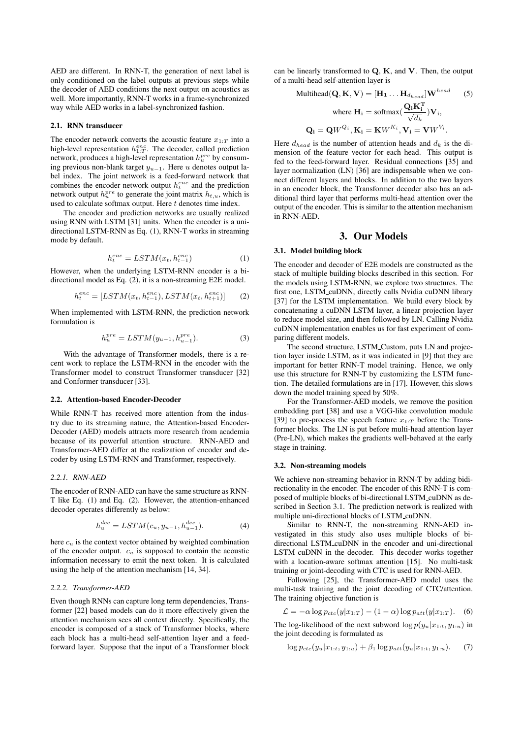AED are different. In RNN-T, the generation of next label is only conditioned on the label outputs at previous steps while the decoder of AED conditions the next output on acoustics as well. More importantly, RNN-T works in a frame-synchronized way while AED works in a label-synchronized fashion.

#### 2.1. RNN transducer

The encoder network converts the acoustic feature  $x_{1:T}$  into a high-level representation  $h_{1:T}^{enc}$ . The decoder, called prediction network, produces a high-level representation  $h_u^{pre}$  by consuming previous non-blank target  $y_{u-1}$ . Here u denotes output label index. The joint network is a feed-forward network that combines the encoder network output  $h_t^{enc}$  and the prediction network output  $h_u^{pre}$  to generate the joint matrix  $h_{t,u}$ , which is used to calculate softmax output. Here  $t$  denotes time index.

The encoder and prediction networks are usually realized using RNN with LSTM [31] units. When the encoder is a unidirectional LSTM-RNN as Eq. (1), RNN-T works in streaming mode by default.

$$
h_t^{enc} = LSTM(x_t, h_{t-1}^{enc})
$$
\n(1)

However, when the underlying LSTM-RNN encoder is a bidirectional model as Eq. (2), it is a non-streaming E2E model.

$$
h_t^{enc} = [LSTM(x_t, h_{t-1}^{enc}), LSTM(x_t, h_{t+1}^{enc})]
$$
 (2)

When implemented with LSTM-RNN, the prediction network formulation is

$$
h_u^{pre} = LSTM(y_{u-1}, h_{u-1}^{pre}).
$$
\n(3)

With the advantage of Transformer models, there is a recent work to replace the LSTM-RNN in the encoder with the Transformer model to construct Transformer transducer [32] and Conformer transducer [33].

### 2.2. Attention-based Encoder-Decoder

While RNN-T has received more attention from the industry due to its streaming nature, the Attention-based Encoder-Decoder (AED) models attracts more research from academia because of its powerful attention structure. RNN-AED and Transformer-AED differ at the realization of encoder and decoder by using LSTM-RNN and Transformer, respectively.

### *2.2.1. RNN-AED*

The encoder of RNN-AED can have the same structure as RNN-T like Eq. (1) and Eq. (2). However, the attention-enhanced decoder operates differently as below:

$$
h_{u}^{dec} = LSTM(c_{u}, y_{u-1}, h_{u-1}^{dec}).
$$
\n(4)

here  $c<sub>u</sub>$  is the context vector obtained by weighted combination of the encoder output.  $c<sub>u</sub>$  is supposed to contain the acoustic information necessary to emit the next token. It is calculated using the help of the attention mechanism [14, 34].

#### *2.2.2. Transformer-AED*

Even though RNNs can capture long term dependencies, Transformer [22] based models can do it more effectively given the attention mechanism sees all context directly. Specifically, the encoder is composed of a stack of Transformer blocks, where each block has a multi-head self-attention layer and a feedforward layer. Suppose that the input of a Transformer block can be linearly transformed to  $Q$ ,  $K$ , and  $V$ . Then, the output of a multi-head self-attention layer is

$$
\text{Multihead}(\mathbf{Q}, \mathbf{K}, \mathbf{V}) = [\mathbf{H}_1 \dots \mathbf{H}_{d_{head}}] \mathbf{W}^{head} \quad (5)
$$
\n
$$
\text{where } \mathbf{H}_i = \text{softmax}(\frac{\mathbf{Q}_i \mathbf{K}_i^{\mathbf{T}}}{\sqrt{d_k}}) \mathbf{V}_i,
$$
\n
$$
\mathbf{Q}_i = \mathbf{Q} W^{Q_i}, \mathbf{K}_i = \mathbf{K} W^{K_i}, \mathbf{V}_i = \mathbf{V} W^{V_i}.
$$

Here  $d_{head}$  is the number of attention heads and  $d_k$  is the dimension of the feature vector for each head. This output is fed to the feed-forward layer. Residual connections [35] and layer normalization (LN) [36] are indispensable when we connect different layers and blocks. In addition to the two layers in an encoder block, the Transformer decoder also has an additional third layer that performs multi-head attention over the output of the encoder. This is similar to the attention mechanism in RNN-AED.

### 3. Our Models

#### 3.1. Model building block

The encoder and decoder of E2E models are constructed as the stack of multiple building blocks described in this section. For the models using LSTM-RNN, we explore two structures. The first one, LSTM\_cuDNN, directly calls Nvidia cuDNN library [37] for the LSTM implementation. We build every block by concatenating a cuDNN LSTM layer, a linear projection layer to reduce model size, and then followed by LN. Calling Nvidia cuDNN implementation enables us for fast experiment of comparing different models.

The second structure, LSTM Custom, puts LN and projection layer inside LSTM, as it was indicated in [9] that they are important for better RNN-T model training. Hence, we only use this structure for RNN-T by customizing the LSTM function. The detailed formulations are in [17]. However, this slows down the model training speed by 50%.

For the Transformer-AED models, we remove the position embedding part [38] and use a VGG-like convolution module [39] to pre-process the speech feature  $x_{1:T}$  before the Transformer blocks. The LN is put before multi-head attention layer (Pre-LN), which makes the gradients well-behaved at the early stage in training.

#### 3.2. Non-streaming models

We achieve non-streaming behavior in RNN-T by adding bidirectionality in the encoder. The encoder of this RNN-T is composed of multiple blocks of bi-directional LSTM cuDNN as described in Section 3.1. The prediction network is realized with multiple uni-directional blocks of LSTM cuDNN.

Similar to RNN-T, the non-streaming RNN-AED investigated in this study also uses multiple blocks of bidirectional LSTM cuDNN in the encoder and uni-directional LSTM cuDNN in the decoder. This decoder works together with a location-aware softmax attention [15]. No multi-task training or joint-decoding with CTC is used for RNN-AED.

Following [25], the Transformer-AED model uses the multi-task training and the joint decoding of CTC/attention. The training objective function is

$$
\mathcal{L} = -\alpha \log p_{ctc}(y|x_{1:T}) - (1 - \alpha) \log p_{att}(y|x_{1:T}). \quad (6)
$$

The log-likelihood of the next subword  $\log p(y_u|x_{1:t}, y_{1:u})$  in the joint decoding is formulated as

$$
\log p_{ctc}(y_u|x_{1:t}, y_{1:u}) + \beta_1 \log p_{att}(y_u|x_{1:t}, y_{1:u}). \tag{7}
$$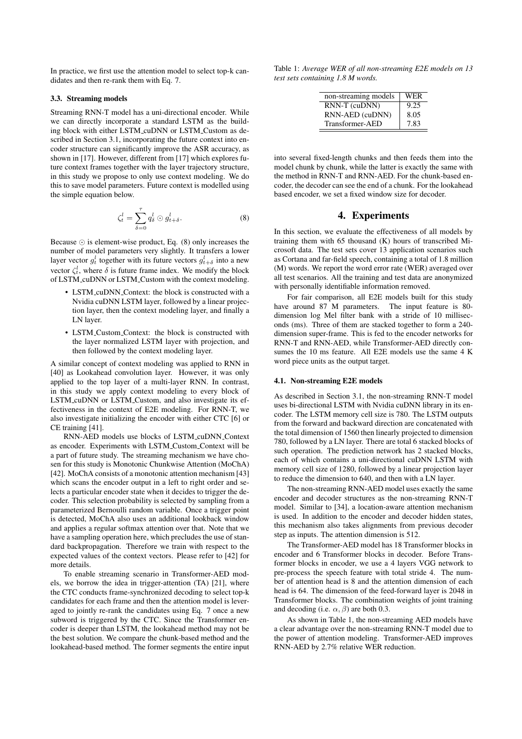In practice, we first use the attention model to select top-k candidates and then re-rank them with Eq. 7.

#### 3.3. Streaming models

Streaming RNN-T model has a uni-directional encoder. While we can directly incorporate a standard LSTM as the building block with either LSTM cuDNN or LSTM Custom as described in Section 3.1, incorporating the future context into encoder structure can significantly improve the ASR accuracy, as shown in [17]. However, different from [17] which explores future context frames together with the layer trajectory structure, in this study we propose to only use context modeling. We do this to save model parameters. Future context is modelled using the simple equation below.

$$
\zeta_t^l = \sum_{\delta=0}^{\tau} q_\delta^l \odot g_{t+\delta}^l.
$$
 (8)

Because  $\odot$  is element-wise product, Eq. (8) only increases the number of model parameters very slightly. It transfers a lower layer vector  $g_t^l$  together with its future vectors  $g_{t+\delta}^l$  into a new vector  $\zeta_t^l$ , where  $\delta$  is future frame index. We modify the block of LSTM cuDNN or LSTM Custom with the context modeling.

- LSTM cuDNN Context: the block is constructed with a Nvidia cuDNN LSTM layer, followed by a linear projection layer, then the context modeling layer, and finally a LN layer.
- LSTM\_Custom\_Context: the block is constructed with the layer normalized LSTM layer with projection, and then followed by the context modeling layer.

A similar concept of context modeling was applied to RNN in [40] as Lookahead convolution layer. However, it was only applied to the top layer of a multi-layer RNN. In contrast, in this study we apply context modeling to every block of LSTM cuDNN or LSTM Custom, and also investigate its effectiveness in the context of E2E modeling. For RNN-T, we also investigate initializing the encoder with either CTC [6] or CE training [41].

RNN-AED models use blocks of LSTM cuDNN Context as encoder. Experiments with LSTM Custom Context will be a part of future study. The streaming mechanism we have chosen for this study is Monotonic Chunkwise Attention (MoChA) [42]. MoChA consists of a monotonic attention mechanism [43] which scans the encoder output in a left to right order and selects a particular encoder state when it decides to trigger the decoder. This selection probability is selected by sampling from a parameterized Bernoulli random variable. Once a trigger point is detected, MoChA also uses an additional lookback window and applies a regular softmax attention over that. Note that we have a sampling operation here, which precludes the use of standard backpropagation. Therefore we train with respect to the expected values of the context vectors. Please refer to [42] for more details.

To enable streaming scenario in Transformer-AED models, we borrow the idea in trigger-attention (TA) [21], where the CTC conducts frame-synchronized decoding to select top-k candidates for each frame and then the attention model is leveraged to jointly re-rank the candidates using Eq. 7 once a new subword is triggered by the CTC. Since the Transformer encoder is deeper than LSTM, the lookahead method may not be the best solution. We compare the chunk-based method and the lookahead-based method. The former segments the entire input

Table 1: *Average WER of all non-streaming E2E models on 13 test sets containing 1.8 M words.*

| non-streaming models | WER  |
|----------------------|------|
| RNN-T (cuDNN)        | 9.25 |
| RNN-AED (cuDNN)      | 8.05 |
| Transformer-AED      | 7.83 |

into several fixed-length chunks and then feeds them into the model chunk by chunk, while the latter is exactly the same with the method in RNN-T and RNN-AED. For the chunk-based encoder, the decoder can see the end of a chunk. For the lookahead based encoder, we set a fixed window size for decoder.

# 4. Experiments

In this section, we evaluate the effectiveness of all models by training them with 65 thousand (K) hours of transcribed Microsoft data. The test sets cover 13 application scenarios such as Cortana and far-field speech, containing a total of 1.8 million (M) words. We report the word error rate (WER) averaged over all test scenarios. All the training and test data are anonymized with personally identifiable information removed.

For fair comparison, all E2E models built for this study have around 87 M parameters. The input feature is 80 dimension log Mel filter bank with a stride of 10 milliseconds (ms). Three of them are stacked together to form a 240 dimension super-frame. This is fed to the encoder networks for RNN-T and RNN-AED, while Transformer-AED directly consumes the 10 ms feature. All E2E models use the same 4 K word piece units as the output target.

#### 4.1. Non-streaming E2E models

As described in Section 3.1, the non-streaming RNN-T model uses bi-directional LSTM with Nvidia cuDNN library in its encoder. The LSTM memory cell size is 780. The LSTM outputs from the forward and backward direction are concatenated with the total dimension of 1560 then linearly projected to dimension 780, followed by a LN layer. There are total 6 stacked blocks of such operation. The prediction network has 2 stacked blocks, each of which contains a uni-directional cuDNN LSTM with memory cell size of 1280, followed by a linear projection layer to reduce the dimension to 640, and then with a LN layer.

The non-streaming RNN-AED model uses exactly the same encoder and decoder structures as the non-streaming RNN-T model. Similar to [34], a location-aware attention mechanism is used. In addition to the encoder and decoder hidden states, this mechanism also takes alignments from previous decoder step as inputs. The attention dimension is 512.

The Transformer-AED model has 18 Transformer blocks in encoder and 6 Transformer blocks in decoder. Before Transformer blocks in encoder, we use a 4 layers VGG network to pre-process the speech feature with total stride 4. The number of attention head is 8 and the attention dimension of each head is 64. The dimension of the feed-forward layer is 2048 in Transformer blocks. The combination weights of joint training and decoding (i.e.  $\alpha$ ,  $\beta$ ) are both 0.3.

As shown in Table 1, the non-streaming AED models have a clear advantage over the non-streaming RNN-T model due to the power of attention modeling. Transformer-AED improves RNN-AED by 2.7% relative WER reduction.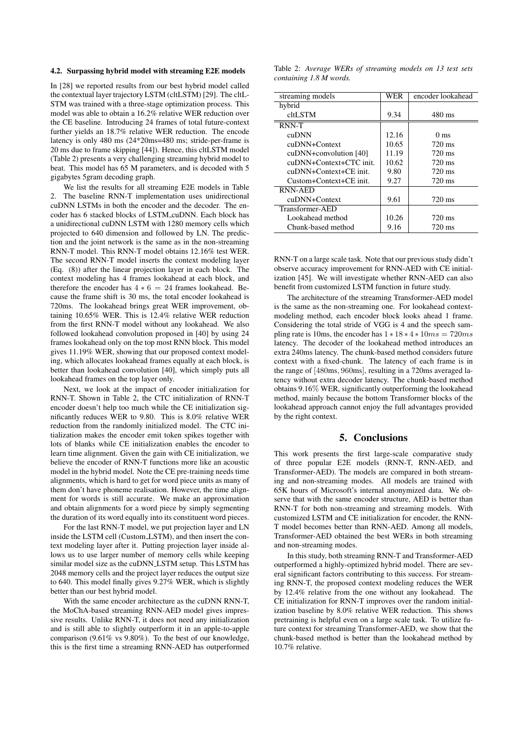### 4.2. Surpassing hybrid model with streaming E2E models

In [28] we reported results from our best hybrid model called the contextual layer trajectory LSTM (cltLSTM) [29]. The cltL-STM was trained with a three-stage optimization process. This model was able to obtain a 16.2% relative WER reduction over the CE baseline. Introducing 24 frames of total future-context further yields an 18.7% relative WER reduction. The encode latency is only 480 ms (24\*20ms=480 ms; stride-per-frame is 20 ms due to frame skipping [44]). Hence, this cltLSTM model (Table 2) presents a very challenging streaming hybrid model to beat. This model has 65 M parameters, and is decoded with 5 gigabytes 5gram decoding graph.

We list the results for all streaming E2E models in Table 2. The baseline RNN-T implementation uses unidirectional cuDNN LSTMs in both the encoder and the decoder. The encoder has 6 stacked blocks of LSTM cuDNN. Each block has a unidirectional cuDNN LSTM with 1280 memory cells which projected to 640 dimension and followed by LN. The prediction and the joint network is the same as in the non-streaming RNN-T model. This RNN-T model obtains 12.16% test WER. The second RNN-T model inserts the context modeling layer (Eq. (8)) after the linear projection layer in each block. The context modeling has 4 frames lookahead at each block, and therefore the encoder has  $4 * 6 = 24$  frames lookahead. Because the frame shift is 30 ms, the total encoder lookahead is 720ms. The lookahead brings great WER improvement, obtaining 10.65% WER. This is 12.4% relative WER reduction from the first RNN-T model without any lookahead. We also followed lookahead convolution proposed in [40] by using 24 frames lookahead only on the top most RNN block. This model gives 11.19% WER, showing that our proposed context modeling, which allocates lookahead frames equally at each block, is better than lookahead convolution [40], which simply puts all lookahead frames on the top layer only.

Next, we look at the impact of encoder initialization for RNN-T. Shown in Table 2, the CTC initialization of RNN-T encoder doesn't help too much while the CE initialization significantly reduces WER to 9.80. This is 8.0% relative WER reduction from the randomly initialized model. The CTC initialization makes the encoder emit token spikes together with lots of blanks while CE initialization enables the encoder to learn time alignment. Given the gain with CE initialization, we believe the encoder of RNN-T functions more like an acoustic model in the hybrid model. Note the CE pre-training needs time alignments, which is hard to get for word piece units as many of them don't have phoneme realisation. However, the time alignment for words is still accurate. We make an approximation and obtain alignments for a word piece by simply segmenting the duration of its word equally into its constituent word pieces.

For the last RNN-T model, we put projection layer and LN inside the LSTM cell (Custom LSTM), and then insert the context modeling layer after it. Putting projection layer inside allows us to use larger number of memory cells while keeping similar model size as the cuDNN LSTM setup. This LSTM has 2048 memory cells and the project layer reduces the output size to 640. This model finally gives 9.27% WER, which is slightly better than our best hybrid model.

With the same encoder architecture as the cuDNN RNN-T, the MoChA-based streaming RNN-AED model gives impressive results. Unlike RNN-T, it does not need any initialization and is still able to slightly outperform it in an apple-to-apple comparison (9.61% vs 9.80%). To the best of our knowledge, this is the first time a streaming RNN-AED has outperformed

Table 2: *Average WERs of streaming models on 13 test sets containing 1.8 M words.*

| streaming models        | WER   | encoder lookahead |
|-------------------------|-------|-------------------|
| hybrid                  |       |                   |
| cltLSTM                 | 9.34  | 480 ms            |
| RNN-T                   |       |                   |
| cuDNN                   | 12.16 | $0 \text{ ms}$    |
| cuDNN+Context           | 10.65 | 720 ms            |
| cuDNN+convolution [40]  | 11.19 | 720 ms            |
| cuDNN+Context+CTC init. | 10.62 | $720 \text{ ms}$  |
| cuDNN+Context+CE init.  | 9.80  | 720 ms            |
| Custom+Context+CE init. | 9.27  | 720 ms            |
| <b>RNN-AED</b>          |       |                   |
| cuDNN+Context           | 9.61  | 720 ms            |
| Transformer-AED         |       |                   |
| Lookahead method        | 10.26 | 720 ms            |
| Chunk-based method      | 9.16  | 720 ms            |

RNN-T on a large scale task. Note that our previous study didn't observe accuracy improvement for RNN-AED with CE initialization [45]. We will investigate whether RNN-AED can also benefit from customized LSTM function in future study.

The architecture of the streaming Transformer-AED model is the same as the non-streaming one. For lookahead contextmodeling method, each encoder block looks ahead 1 frame. Considering the total stride of VGG is 4 and the speech sampling rate is 10ms, the encoder has  $1 * 18 * 4 * 10ms = 720ms$ latency. The decoder of the lookahead method introduces an extra 240ms latency. The chunk-based method considers future context with a fixed-chunk. The latency of each frame is in the range of [480ms, 960ms], resulting in a 720ms averaged latency without extra decoder latency. The chunk-based method obtains 9.16% WER, significantly outperforming the lookahead method, mainly because the bottom Transformer blocks of the lookahead approach cannot enjoy the full advantages provided by the right context.

# 5. Conclusions

This work presents the first large-scale comparative study of three popular E2E models (RNN-T, RNN-AED, and Transformer-AED). The models are compared in both streaming and non-streaming modes. All models are trained with 65K hours of Microsoft's internal anonymized data. We observe that with the same encoder structure, AED is better than RNN-T for both non-streaming and streaming models. With customized LSTM and CE initialization for encoder, the RNN-T model becomes better than RNN-AED. Among all models, Transformer-AED obtained the best WERs in both streaming and non-streaming modes.

In this study, both streaming RNN-T and Transformer-AED outperformed a highly-optimized hybrid model. There are several significant factors contributing to this success. For streaming RNN-T, the proposed context modeling reduces the WER by 12.4% relative from the one without any lookahead. The CE initialization for RNN-T improves over the random initialization baseline by 8.0% relative WER reduction. This shows pretraining is helpful even on a large scale task. To utilize future context for streaming Transformer-AED, we show that the chunk-based method is better than the lookahead method by 10.7% relative.